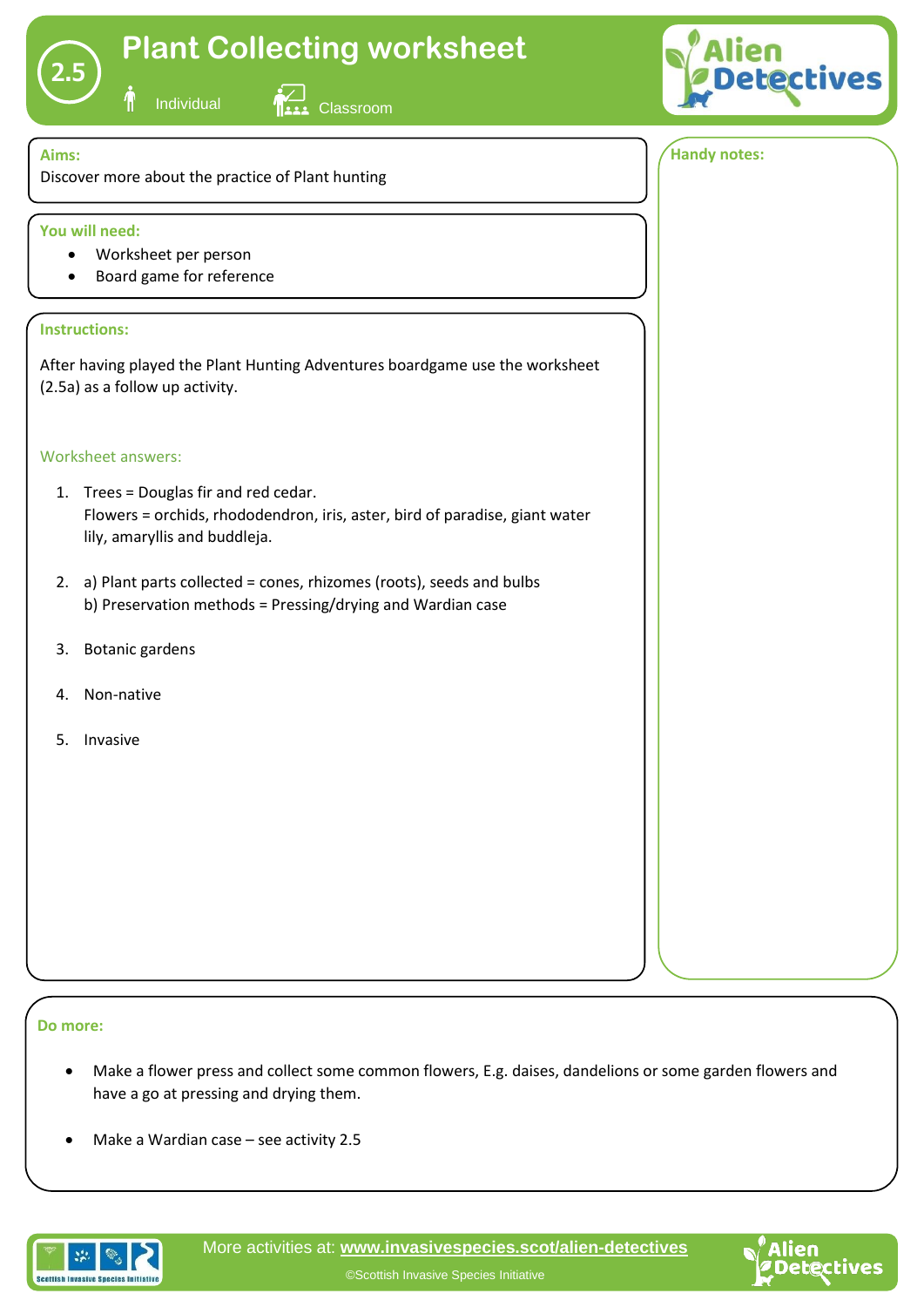## **Plant Collecting worksheet**



**2.5**

Individual **AVI Classroom** 



## **Aims:** Discover more about the practice of Plant hunting **1 Instructions:** After having played the Plant Hunting Adventures boardgame use the worksheet (2.5a) as a follow up activity. Worksheet answers: 1. Trees = Douglas fir and red cedar. Flowers = orchids, rhododendron, iris, aster, bird of paradise, giant water lily, amaryllis and buddleja. 2. a) Plant parts collected = cones, rhizomes (roots), seeds and bulbs b) Preservation methods = Pressing/drying and Wardian case 3. Botanic gardens 4. Non-native 5. Invasive **You will need:** • Worksheet per person • Board game for reference **Handy notes:**

## **Do more:**

- Make a flower press and collect some common flowers, E.g. daises, dandelions or some garden flowers and have a go at pressing and drying them.
- Make a Wardian case see activity 2.5